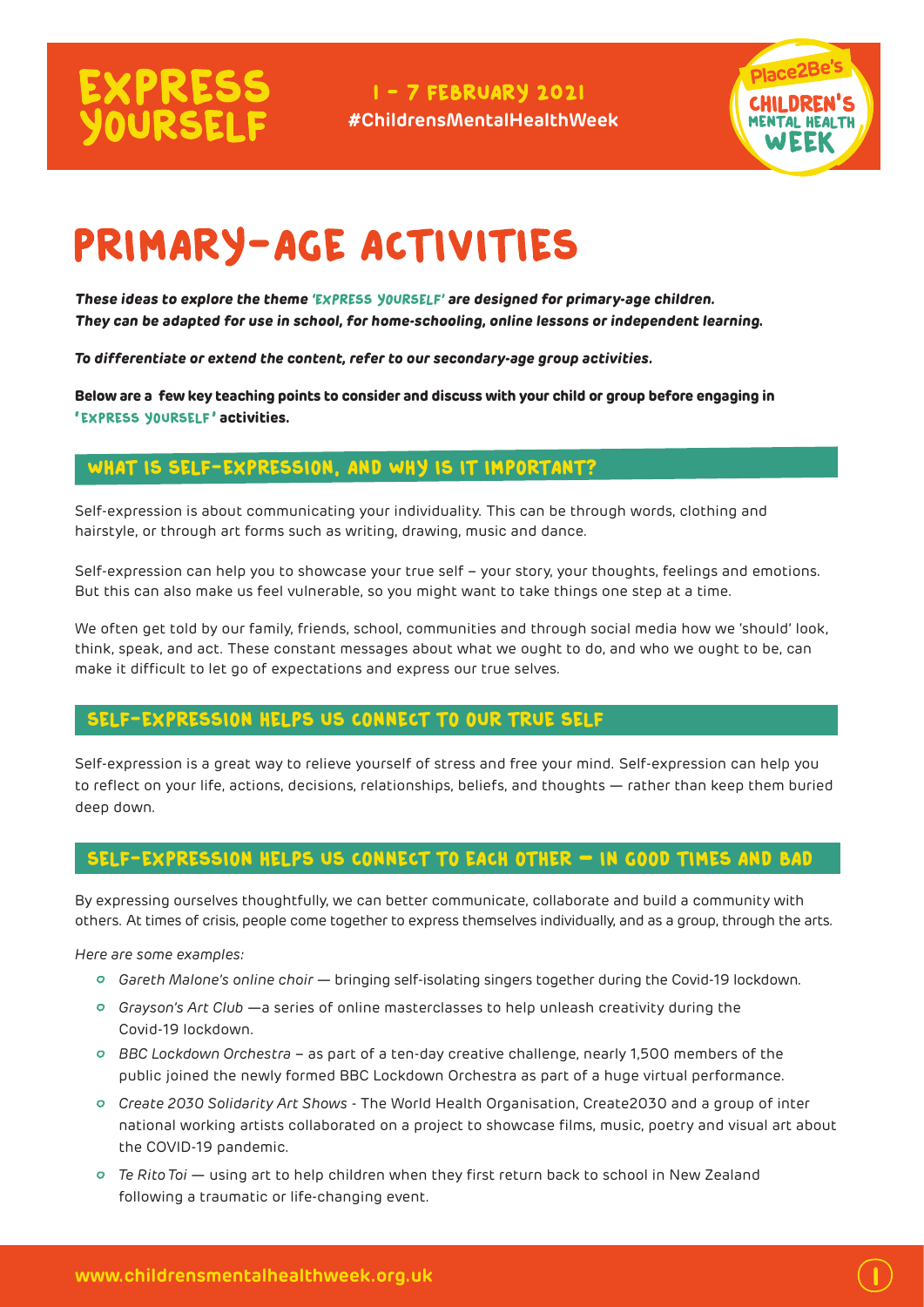# **EXPRESS**<br>YOURSELF

I - 7 FEBRUARY 2021 **#ChildrensMentalHealthWeek**



 $\overline{\mathbf{l}}$ 

## PRIMARY-AGE ACTIVITIES

**These ideas to explore the theme '**Express Yourself**' are designed for primary-age children. They can be adapted for use in school, for home-schooling, online lessons or independent learning.**

*To differentiate or extend the content, refer to our secondary-age group activities.*

**Below are a few key teaching points to consider and discuss with your child or group before engaging in '**express yourself**' activities.** 

#### What is self-expression, and why is it important?

Self-expression is about communicating your individuality. This can be through words, clothing and hairstyle, or through art forms such as writing, drawing, music and dance.

Self-expression can help you to showcase your true self – your story, your thoughts, feelings and emotions. But this can also make us feel vulnerable, so you might want to take things one step at a time.

We often get told by our family, friends, school, communities and through social media how we 'should' look, think, speak, and act. These constant messages about what we ought to do, and who we ought to be, can make it difficult to let go of expectations and express our true selves.

#### Self-expression helps us connect to our true self

Self-expression is a great way to relieve yourself of stress and free your mind. Self-expression can help you to reflect on your life, actions, decisions, relationships, beliefs, and thoughts — rather than keep them buried deep down.

#### Self-expression helps us connect to each other **–** in good times and bad

By expressing ourselves thoughtfully, we can better communicate, collaborate and build a community with others. At times of crisis, people come together to express themselves individually, and as a group, through the arts.

*Here are some examples:*

- *Gareth Malone's online choir* bringing self-isolating singers together during the Covid-19 lockdown.
- *Grayson's Art Club* —a series of online masterclasses to help unleash creativity during the Covid-19 lockdown.
- *BBC Lockdown Orchestra* as part of a ten-day creative challenge, nearly 1,500 members of the public joined the newly formed BBC Lockdown Orchestra as part of a huge virtual performance.
- *Create 2030 Solidarity Art Shows* The World Health Organisation, Create2030 and a group of inter national working artists collaborated on a project to showcase films, music, poetry and visual art about the COVID-19 pandemic.
- *Te Rito Toi*  using art to help children when they first return back to school in New Zealand following a traumatic or life-changing event.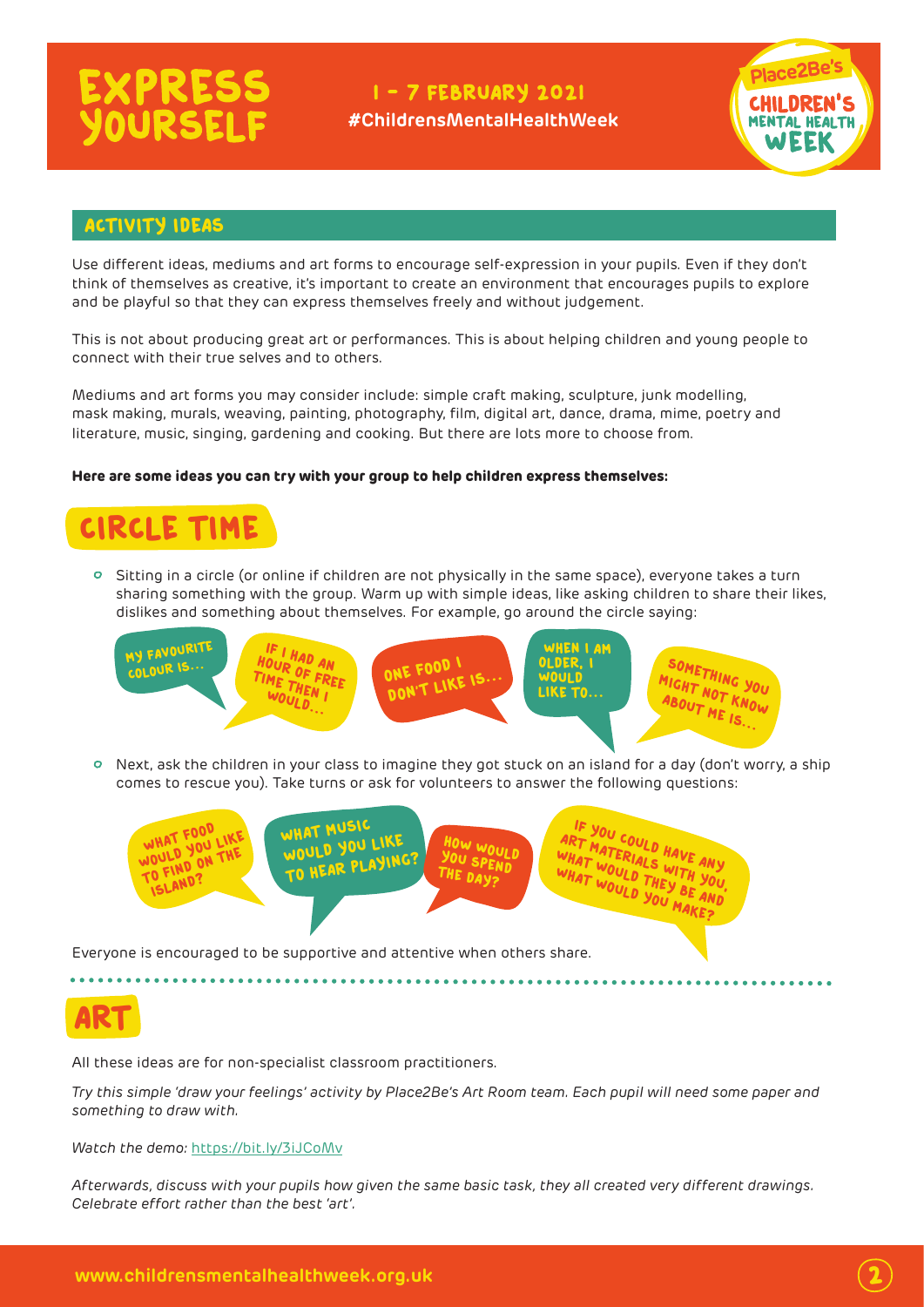# **EXPRESS**<br>YOURSELF

#### I-7 FEBRUARY 2021

**#ChildrensMentalHealthWeek**



 $\overline{\mathbf{2}}$ 

#### Activity ideas

Use different ideas, mediums and art forms to encourage self-expression in your pupils. Even if they don't think of themselves as creative, it's important to create an environment that encourages pupils to explore and be playful so that they can express themselves freely and without judgement.

This is not about producing great art or performances. This is about helping children and young people to connect with their true selves and to others.

Mediums and art forms you may consider include: simple craft making, sculpture, junk modelling, mask making, murals, weaving, painting, photography, film, digital art, dance, drama, mime, poetry and literature, music, singing, gardening and cooking. But there are lots more to choose from.

#### **Here are some ideas you can try with your group to help children express themselves:**



 $\circ$  Sitting in a circle (or online if children are not physically in the same space), everyone takes a turn sharing something with the group. Warm up with simple ideas, like asking children to share their likes, dislikes and something about themselves. For example, go around the circle saying:



 Next, ask the children in your class to imagine they got stuck on an island for a day (don't worry, a ship comes to rescue you). Take turns or ask for volunteers to answer the following questions:



Art

All these ideas are for non-specialist classroom practitioners.

*Try this simple 'draw your feelings' activity by Place2Be's Art Room team. Each pupil will need some paper and something to draw with.* 

*Watch the demo:* https://bit.ly/3iJCoMv

*Afterwards, discuss with your pupils how given the same basic task, they all created very different drawings. Celebrate effort rather than the best 'art'.*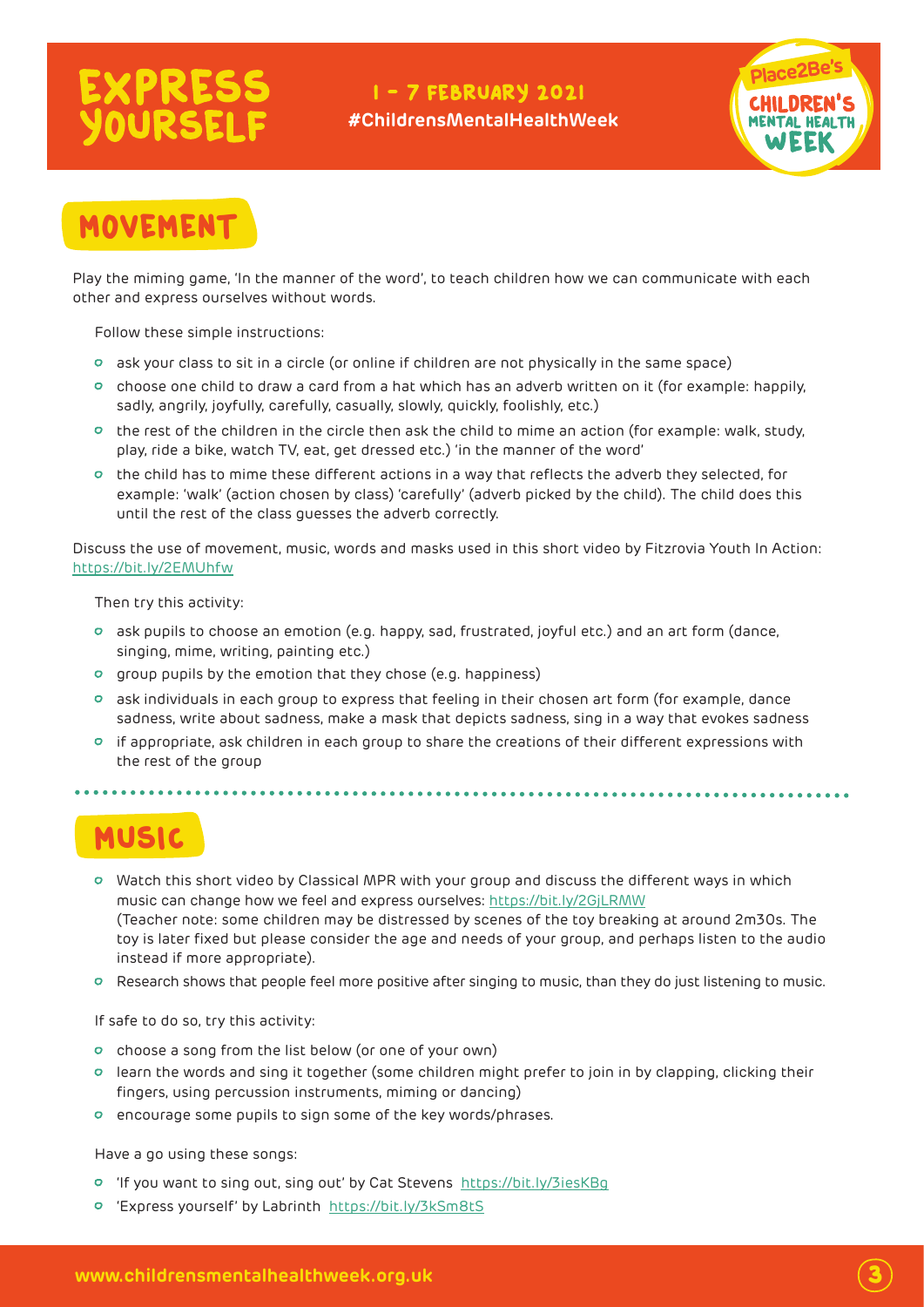# **EXPRESS**<br>YOURSELF

### I - 7 FEBRUARY 2021

**#ChildrensMentalHealthWeek**



### MOVEMEN

Play the miming game, 'In the manner of the word', to teach children how we can communicate with each other and express ourselves without words.

Follow these simple instructions:

- ask your class to sit in a circle (or online if children are not physically in the same space)
- choose one child to draw a card from a hat which has an adverb written on it (for example: happily, sadly, angrily, joyfully, carefully, casually, slowly, quickly, foolishly, etc.)
- $\circ$  the rest of the children in the circle then ask the child to mime an action (for example: walk, study, play, ride a bike, watch TV, eat, get dressed etc.) 'in the manner of the word'
- $\circ$  the child has to mime these different actions in a way that reflects the adverb they selected, for example: 'walk' (action chosen by class) 'carefully' (adverb picked by the child). The child does this until the rest of the class guesses the adverb correctly.

Discuss the use of movement, music, words and masks used in this short video by Fitzrovia Youth In Action: <https://bit.ly/2EMUhfw>

Then try this activity:

- ask pupils to choose an emotion (e.g. happy, sad, frustrated, joyful etc.) and an art form (dance, singing, mime, writing, painting etc.)
- group pupils by the emotion that they chose (e.g. happiness)
- ask individuals in each group to express that feeling in their chosen art form (for example, dance sadness, write about sadness, make a mask that depicts sadness, sing in a way that evokes sadness
- $\circ$  if appropriate, ask children in each group to share the creations of their different expressions with the rest of the group

Music

- Watch this short video by Classical MPR with your group and discuss the different ways in which music can change how we feel and express ourselves:<https://bit.ly/2GjLRMW> (Teacher note: some children may be distressed by scenes of the toy breaking at around 2m30s. The toy is later fixed but please consider the age and needs of your group, and perhaps listen to the audio instead if more appropriate).
- Research shows that people feel more positive after singing to music, than they do just listening to music.

If safe to do so, try this activity:

- choose a song from the list below (or one of your own)
- learn the words and sing it together (some children might prefer to join in by clapping, clicking their fingers, using percussion instruments, miming or dancing)
- encourage some pupils to sign some of the key words/phrases.

Have a go using these songs:

- 'If you want to sing out, sing out' by Cat Stevens <https://bit.ly/3iesKBg>
- 'Express yourself' by Labrinth <https://bit.ly/3kSm8tS>